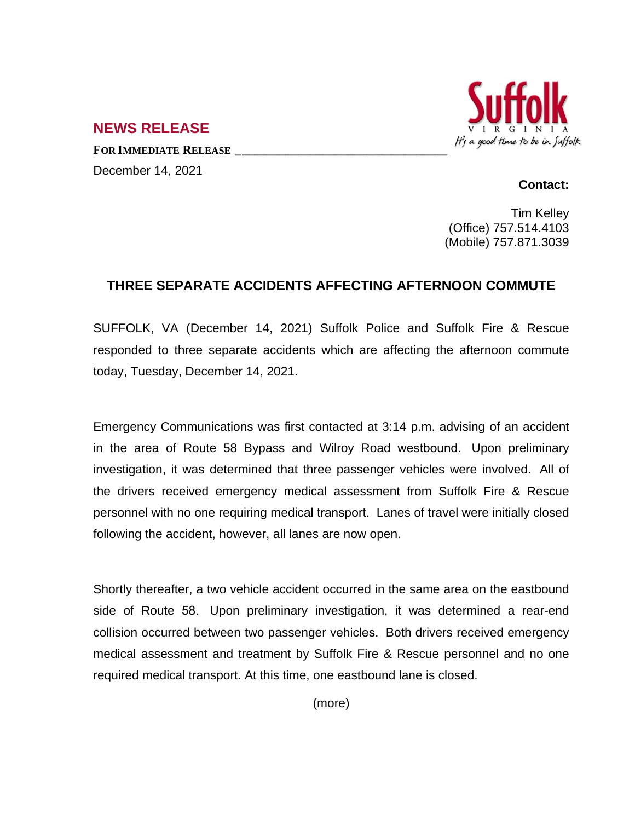

## **NEWS RELEASE**

**FOR IMMEDIATE RELEASE \_\_\_\_\_\_\_\_\_\_\_\_\_\_\_\_\_\_\_\_\_\_\_\_\_\_\_\_\_\_\_\_\_\_** December 14, 2021

## **Contact:**

Tim Kelley (Office) 757.514.4103 (Mobile) 757.871.3039

## **THREE SEPARATE ACCIDENTS AFFECTING AFTERNOON COMMUTE**

SUFFOLK, VA (December 14, 2021) Suffolk Police and Suffolk Fire & Rescue responded to three separate accidents which are affecting the afternoon commute today, Tuesday, December 14, 2021.

Emergency Communications was first contacted at 3:14 p.m. advising of an accident in the area of Route 58 Bypass and Wilroy Road westbound. Upon preliminary investigation, it was determined that three passenger vehicles were involved. All of the drivers received emergency medical assessment from Suffolk Fire & Rescue personnel with no one requiring medical transport. Lanes of travel were initially closed following the accident, however, all lanes are now open.

Shortly thereafter, a two vehicle accident occurred in the same area on the eastbound side of Route 58. Upon preliminary investigation, it was determined a rear-end collision occurred between two passenger vehicles. Both drivers received emergency medical assessment and treatment by Suffolk Fire & Rescue personnel and no one required medical transport. At this time, one eastbound lane is closed.

(more)